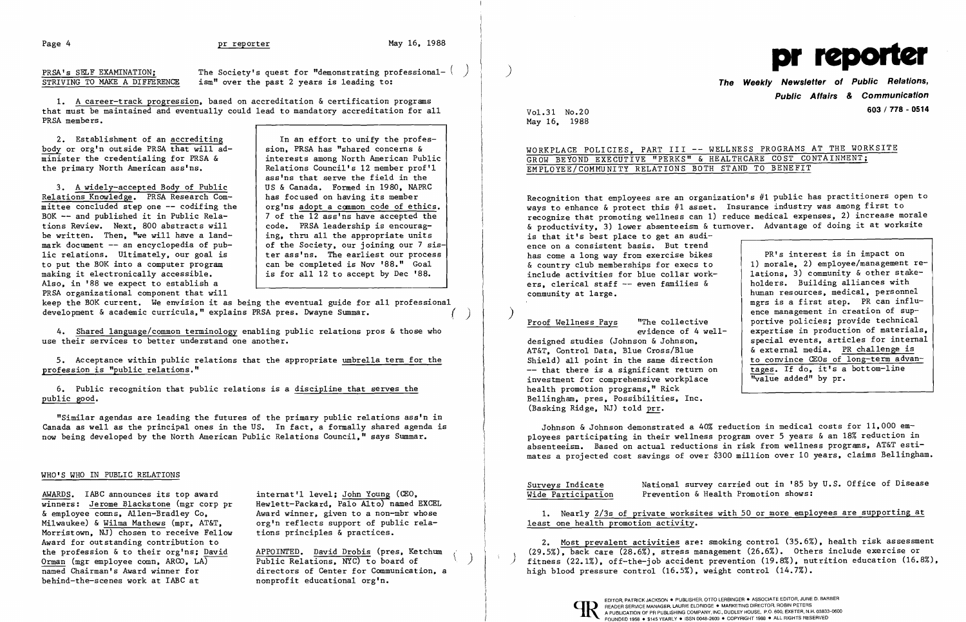Page 4 <u>pr reporter</u> May 16, 1988<br>PRSA's SELF EXAMINATION; The Society's quest for "demonstrating professional- ( ) ) STRIVING TO MAKE A DIFFERENCE ism" over the past 2 years is leading to:

1. A career-track progression, based on accreditation & certification programs that must be maintained and eventually could lead to mandatory accreditation for all PRSA members.

2. Establishment of an accrediting  $\vert$  In an effort to unify the profesbody or org'n outside PRSA that will ad-<br>minister the credentialing for PRSA & interests among North American Pub  $\overline{\text{minister}}$  the credentialing for PRSA & interests among North American Public<br>the primary North American ass'ns. Relations Council's 12 member prof'l

3. A widely-accepted Body of Public Relations Knowledge. PRSA Research Com-<br>mittee concluded step one -- codifing the same a common code of ethics. mittee concluded step one  $--$  codifing the BOK  $--$  and published it in Public Relations Review. Next, 800 abstracts will  $\begin{array}{|l|l|}\n\hline\n\end{array}$  code. PRSA leadership is encourag-<br>be written. Then, "we will have a land-<br> $\begin{array}{|l|}\n\hline\n\end{array}$  ing, thru all the appropriate units be written. Then, "we will have a land-<br>mark document -- an encyclopedia of pub-<br>of the Society, our joining our 7 sismark document -- an encyclopedia of pub-<br>lic relations. Ultimately, our goal is ber ass'ns. The earliest our process 1ic relations. Ultimately, our goal is ter ass'ns. The earliest our proces<br>to put the BOK into a computer program (can be completed is Nov '88." Goal to put the BOK into a computer program and least be completed is Nov '88." Goal<br>making it electronically accessible. <br>is for all 12 to accept by Dec '88. making it electronically accessible. Also, in '88 we expect to establish a PRSA organizational component that will

keep the BOK current. We envision it as being the eventual guide for all professional development & academic curricula." explains PRSA pres. Dwayne Summar.

Relations Council's 12 member prof'l ass'ns that serve the field in the<br>US & Canada. Formed in 1980. NAPRC 7 of the 12 ass'ns have accepted the code. PRSA leadership is encourag-

Recognition that employees are an organization's #1 public has practitioners open to ways to enhance & protect this #1 asset. Insurance industry was among first to recognize that promoting wellness can 1) reduce medical expenses, 2) increase morale & productivity, 3) lower absenteeism & turnover. Advantage of doing it at worksite is that it's best place to get an audience on a consistent basis. But trend has come a long way from exercise bikes | PR's interest is in impact on & country club memberships for execs to  $\vert$  1) morale, 2) employee/management re-<br>include activities for blue collar work-<br> $\vert$  1ations, 3) community & other stakeinclude activities for blue collar work-<br>ers, clerical staff -- even families & ers, clerical staff -- even families & | holders. Building alliances with<br>community at large. | human resources, medical, personne human resources, medical, personnel mgrs is a first step. PR can influ-The collective | ence management in creation of sup-<br>"The collective | portive policies; provide technical evidence of 4 well-Proof Wellness Pays expertise in production of materials, designed studies (Johnson & Johnson, special events, articles for internal<br>AT&T, Control Data, Blue Cross/Blue (sexternal media, PR challenge is AT&T. Control Data. Blue Cross/Blue  $\begin{array}{|l|l|}\n\hline\n\text{A} & \text{B} & \text{B} \\
\hline\n\end{array}$  & external media. PR challenge is<br>Shield) all point in the same direction to convince CEOs of long-term advan-Shield) all point in the same direction  $-$  to convince CEOs of long-term advant-<br>  $-$  that there is a significant return on tages. If do, it's a bottom-line -- that there is a significant return on  $\begin{array}{c|c} \n\text{tages. If } & \text{do. it's a} \\
\text{invariant for comprehensive work} & \text{hence} \\
\end{array}$ investment for comprehensive workplace

4. Shared language/common terminology enabling public relations pros & those who use their services to better understand one another.

5. Acceptance within public relations that the appropriate umbrella term for the profession is "public relations."

6. Public recognition that public relations is a discipline that serves the public good.

"Similar agendas are leading the futures of the primary public relations asa'n in Canada as well as the principal ones in the US. In fact, a formally shared agenda is now being developed by the North American Public Relations Council," says Summar.

### WHO'S WHO IN PUBLIC RELATIONS

AWARDS. IABC announces its top award winners: Jerome Blackstone (mgr corp pr Hewlett-Packard, Palo Alto) named EXCEL<br>& employee comns, Allen-Bradley Co, Award winner, given to a non-mbr whose Milwaukee) & Wilma Mathews (mpr, AT&T, corg'n reflects support of public rela-Morristown, NJ) chosen to receive Fellow tions principles & practices. Award for outstanding contribution to the profession & to their org'ns; David APPOINTED. David Drobis (pres, Ketchum<br>Orman (mgr employee comn, ARCO, LA) Public Relations, NYC) to board of  $\frac{\text{Orman}}{\text{named}}$  (mgr employee comn, ARCO, LA) behind-the-scenes work at IABC at monprofit educational org'n.

internat'l level; John Young (CEO, Award winner, given to a non-mbr whose

directors of Center for Communication, a

2. Most prevalent activities are: smoking control (35.6%), health risk assessment (29.5%), back care (28.6%), stress management (26.6%). Others include exercise or fitness (22.1%), off-the-job accident prevention (19.8%), nutrition education (16.8%), high blood pressure control (16.5%), weight control (14.7%).

 $1\hbox{K}$ 



## **The Weekly Newsletter of Public Relations, Public Affairs & Communication 603 / 778 - 0514**

Vo1.31 No.20 May 16, 1988

WORKPLACE POLICIES, PART III -- WELLNESS PROGRAMS AT THE WORKSITE

# GROW BEYOND EXECUTIVE "PERKS" & HEALTHCARE COST CONTAINMENT; EMPLOYEE/COMMUNITY RELATIONS BOTH STAND TO BENEFIT

health promotion programs," Rick Bellingham, pres, Possibilities, Inc. (Basking Ridge. NJ) told prr.

Johnson & Johnson demonstrated a 40% reduction in medical costs for 11,000 employees participating in their wellness program over 5 years & an 18% reduction in absenteeism. Based on actual reductions in risk from wellness programs. AT&T estimates a projected cost savings of over \$300 million over 10 years, claims Bellingham.

Surveys Indicate Mational survey carried out in '85 by U.S. Office of Disease<br>Wide Participation Prevention & Health Promotion shows: Prevention & Health Promotion shows:

1. Nearly 2/3s of private worksites with 50 or more employees are supporting at least one health promotion activity.